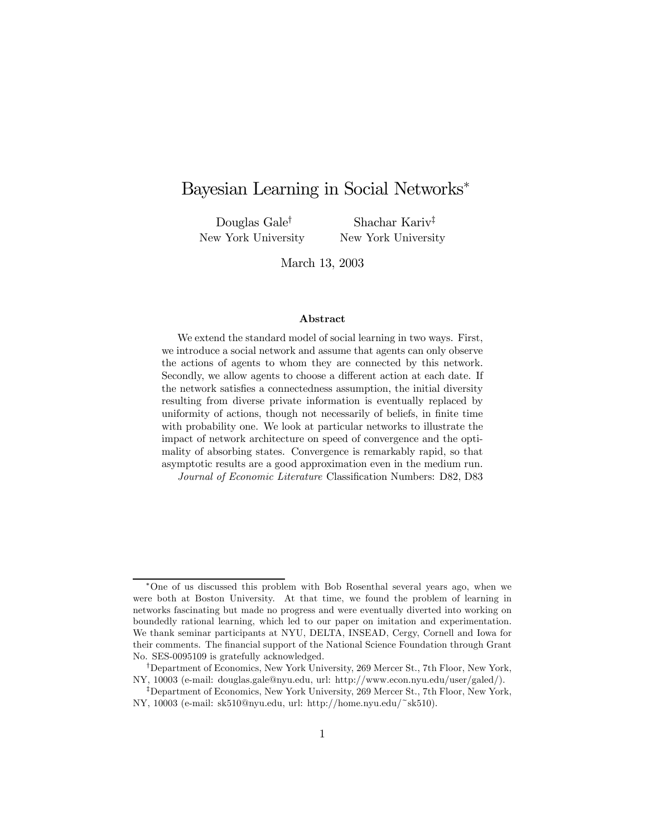# Bayesian Learning in Social Networks<sup>∗</sup>

Douglas Gale† New York University

Shachar Kariv‡ New York University

March 13, 2003

### Abstract

We extend the standard model of social learning in two ways. First, we introduce a social network and assume that agents can only observe the actions of agents to whom they are connected by this network. Secondly, we allow agents to choose a different action at each date. If the network satisfies a connectedness assumption, the initial diversity resulting from diverse private information is eventually replaced by uniformity of actions, though not necessarily of beliefs, in finite time with probability one. We look at particular networks to illustrate the impact of network architecture on speed of convergence and the optimality of absorbing states. Convergence is remarkably rapid, so that asymptotic results are a good approximation even in the medium run. Journal of Economic Literature Classification Numbers: D82, D83

<sup>∗</sup>One of us discussed this problem with Bob Rosenthal several years ago, when we were both at Boston University. At that time, we found the problem of learning in networks fascinating but made no progress and were eventually diverted into working on boundedly rational learning, which led to our paper on imitation and experimentation. We thank seminar participants at NYU, DELTA, INSEAD, Cergy, Cornell and Iowa for their comments. The financial support of the National Science Foundation through Grant No. SES-0095109 is gratefully acknowledged.

<sup>†</sup>Department of Economics, New York University, 269 Mercer St., 7th Floor, New York, NY, 10003 (e-mail: douglas.gale@nyu.edu, url: http://www.econ.nyu.edu/user/galed/).

<sup>‡</sup>Department of Economics, New York University, 269 Mercer St., 7th Floor, New York, NY, 10003 (e-mail: sk510@nyu.edu, url: http://home.nyu.edu/~sk510).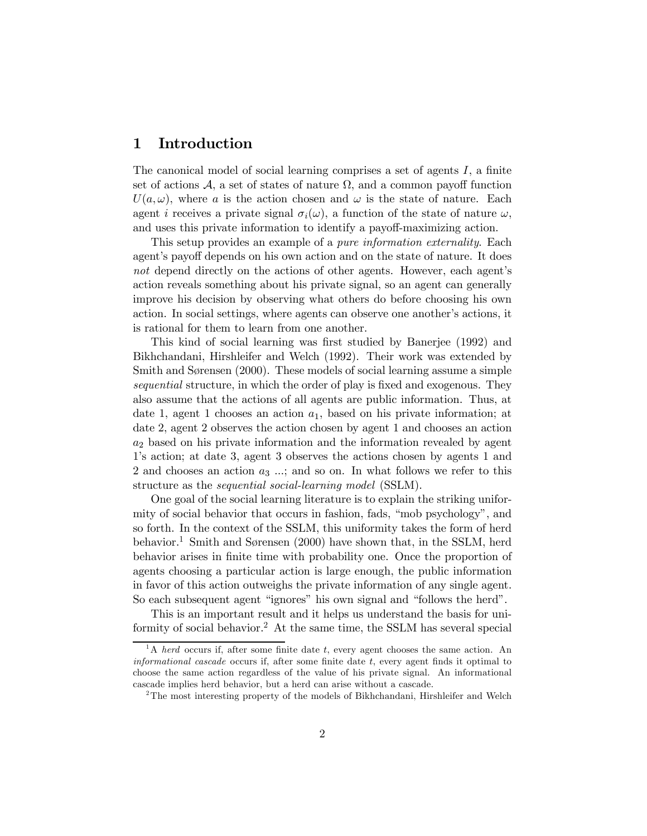## 1 Introduction

The canonical model of social learning comprises a set of agents  $I$ , a finite set of actions  $A$ , a set of states of nature  $\Omega$ , and a common payoff function  $U(a,\omega)$ , where a is the action chosen and  $\omega$  is the state of nature. Each agent i receives a private signal  $\sigma_i(\omega)$ , a function of the state of nature  $\omega$ , and uses this private information to identify a payoff-maximizing action.

This setup provides an example of a pure information externality. Each agent's payoff depends on his own action and on the state of nature. It does not depend directly on the actions of other agents. However, each agent's action reveals something about his private signal, so an agent can generally improve his decision by observing what others do before choosing his own action. In social settings, where agents can observe one another's actions, it is rational for them to learn from one another.

This kind of social learning was first studied by Banerjee (1992) and Bikhchandani, Hirshleifer and Welch (1992). Their work was extended by Smith and Sørensen (2000). These models of social learning assume a simple sequential structure, in which the order of play is fixed and exogenous. They also assume that the actions of all agents are public information. Thus, at date 1, agent 1 chooses an action  $a_1$ , based on his private information; at date 2, agent 2 observes the action chosen by agent 1 and chooses an action a<sup>2</sup> based on his private information and the information revealed by agent 1's action; at date 3, agent 3 observes the actions chosen by agents 1 and 2 and chooses an action a<sup>3</sup> ...; and so on. In what follows we refer to this structure as the *sequential social-learning model* (SSLM).

One goal of the social learning literature is to explain the striking uniformity of social behavior that occurs in fashion, fads, "mob psychology", and so forth. In the context of the SSLM, this uniformity takes the form of herd behavior.1 Smith and Sørensen (2000) have shown that, in the SSLM, herd behavior arises in finite time with probability one. Once the proportion of agents choosing a particular action is large enough, the public information in favor of this action outweighs the private information of any single agent. So each subsequent agent "ignores" his own signal and "follows the herd".

This is an important result and it helps us understand the basis for uniformity of social behavior.<sup>2</sup> At the same time, the SSLM has several special

<sup>&</sup>lt;sup>1</sup>A herd occurs if, after some finite date t, every agent chooses the same action. An informational cascade occurs if, after some finite date  $t$ , every agent finds it optimal to choose the same action regardless of the value of his private signal. An informational cascade implies herd behavior, but a herd can arise without a cascade.

 $2$ <sup>2</sup>The most interesting property of the models of Bikhchandani, Hirshleifer and Welch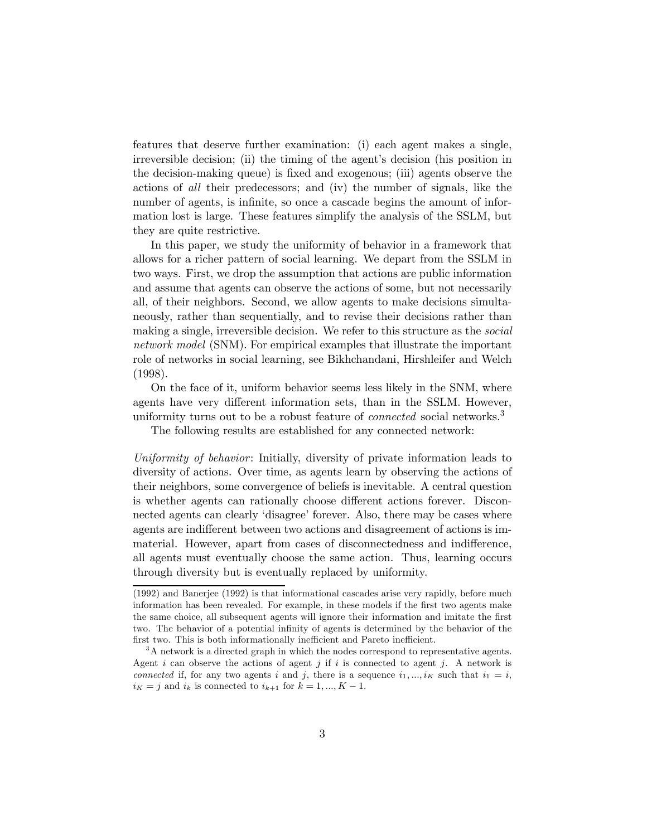features that deserve further examination: (i) each agent makes a single, irreversible decision; (ii) the timing of the agent's decision (his position in the decision-making queue) is fixed and exogenous; (iii) agents observe the actions of all their predecessors; and (iv) the number of signals, like the number of agents, is infinite, so once a cascade begins the amount of information lost is large. These features simplify the analysis of the SSLM, but they are quite restrictive.

In this paper, we study the uniformity of behavior in a framework that allows for a richer pattern of social learning. We depart from the SSLM in two ways. First, we drop the assumption that actions are public information and assume that agents can observe the actions of some, but not necessarily all, of their neighbors. Second, we allow agents to make decisions simultaneously, rather than sequentially, and to revise their decisions rather than making a single, irreversible decision. We refer to this structure as the *social* network model (SNM). For empirical examples that illustrate the important role of networks in social learning, see Bikhchandani, Hirshleifer and Welch (1998).

On the face of it, uniform behavior seems less likely in the SNM, where agents have very different information sets, than in the SSLM. However, uniformity turns out to be a robust feature of *connected* social networks.<sup>3</sup>

The following results are established for any connected network:

Uniformity of behavior: Initially, diversity of private information leads to diversity of actions. Over time, as agents learn by observing the actions of their neighbors, some convergence of beliefs is inevitable. A central question is whether agents can rationally choose different actions forever. Disconnected agents can clearly 'disagree' forever. Also, there may be cases where agents are indifferent between two actions and disagreement of actions is immaterial. However, apart from cases of disconnectedness and indifference, all agents must eventually choose the same action. Thus, learning occurs through diversity but is eventually replaced by uniformity.

<sup>(1992)</sup> and Banerjee (1992) is that informational cascades arise very rapidly, before much information has been revealed. For example, in these models if the first two agents make the same choice, all subsequent agents will ignore their information and imitate the first two. The behavior of a potential infinity of agents is determined by the behavior of the first two. This is both informationally inefficient and Pareto inefficient.

<sup>3</sup>A network is a directed graph in which the nodes correspond to representative agents. Agent i can observe the actions of agent j if i is connected to agent j. A network is connected if, for any two agents i and j, there is a sequence  $i_1, ..., i_K$  such that  $i_1 = i$ ,  $i_K = j$  and  $i_k$  is connected to  $i_{k+1}$  for  $k = 1, ..., K - 1$ .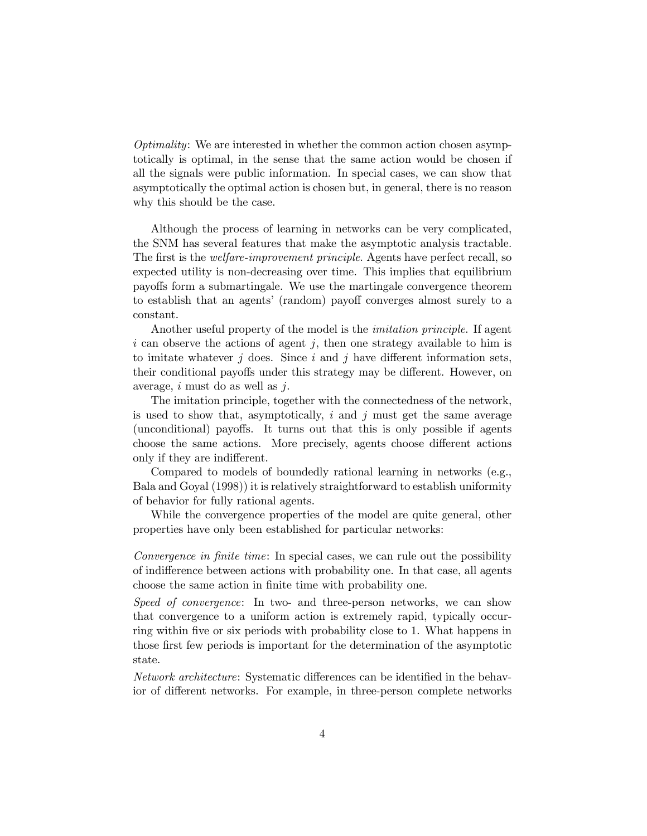Optimality: We are interested in whether the common action chosen asymptotically is optimal, in the sense that the same action would be chosen if all the signals were public information. In special cases, we can show that asymptotically the optimal action is chosen but, in general, there is no reason why this should be the case.

Although the process of learning in networks can be very complicated, the SNM has several features that make the asymptotic analysis tractable. The first is the welfare-improvement principle. Agents have perfect recall, so expected utility is non-decreasing over time. This implies that equilibrium payoffs form a submartingale. We use the martingale convergence theorem to establish that an agents' (random) payoff converges almost surely to a constant.

Another useful property of the model is the imitation principle. If agent  $i$  can observe the actions of agent  $j$ , then one strategy available to him is to imitate whatever  $j$  does. Since  $i$  and  $j$  have different information sets, their conditional payoffs under this strategy may be different. However, on average,  $i$  must do as well as  $j$ .

The imitation principle, together with the connectedness of the network, is used to show that, asymptotically,  $i$  and  $j$  must get the same average (unconditional) payoffs. It turns out that this is only possible if agents choose the same actions. More precisely, agents choose different actions only if they are indifferent.

Compared to models of boundedly rational learning in networks (e.g., Bala and Goyal (1998)) it is relatively straightforward to establish uniformity of behavior for fully rational agents.

While the convergence properties of the model are quite general, other properties have only been established for particular networks:

Convergence in finite time: In special cases, we can rule out the possibility of indifference between actions with probability one. In that case, all agents choose the same action in finite time with probability one.

Speed of convergence: In two- and three-person networks, we can show that convergence to a uniform action is extremely rapid, typically occurring within five or six periods with probability close to 1. What happens in those first few periods is important for the determination of the asymptotic state.

Network architecture: Systematic differences can be identified in the behavior of different networks. For example, in three-person complete networks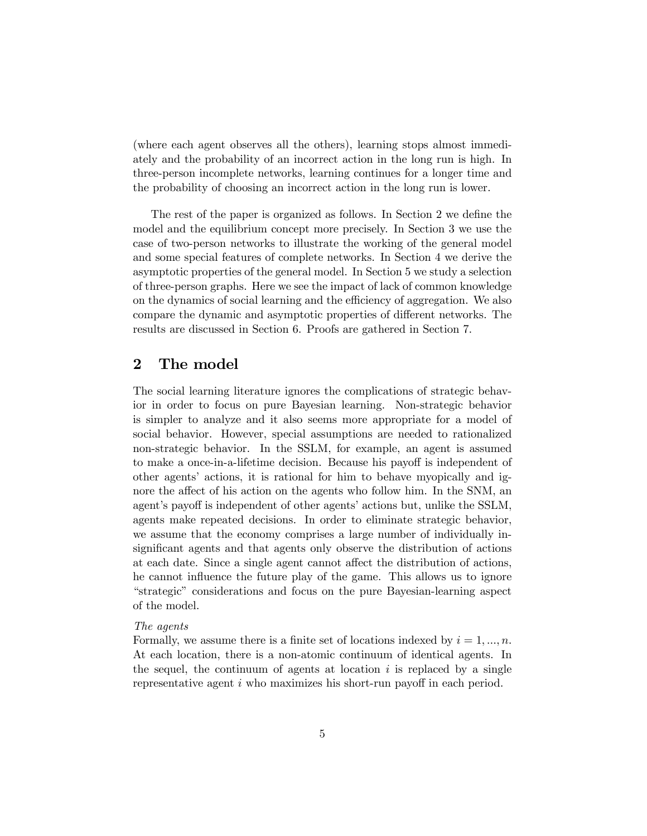(where each agent observes all the others), learning stops almost immediately and the probability of an incorrect action in the long run is high. In three-person incomplete networks, learning continues for a longer time and the probability of choosing an incorrect action in the long run is lower.

The rest of the paper is organized as follows. In Section 2 we define the model and the equilibrium concept more precisely. In Section 3 we use the case of two-person networks to illustrate the working of the general model and some special features of complete networks. In Section 4 we derive the asymptotic properties of the general model. In Section 5 we study a selection of three-person graphs. Here we see the impact of lack of common knowledge on the dynamics of social learning and the efficiency of aggregation. We also compare the dynamic and asymptotic properties of different networks. The results are discussed in Section 6. Proofs are gathered in Section 7.

### 2 The model

The social learning literature ignores the complications of strategic behavior in order to focus on pure Bayesian learning. Non-strategic behavior is simpler to analyze and it also seems more appropriate for a model of social behavior. However, special assumptions are needed to rationalized non-strategic behavior. In the SSLM, for example, an agent is assumed to make a once-in-a-lifetime decision. Because his payoff is independent of other agents' actions, it is rational for him to behave myopically and ignore the affect of his action on the agents who follow him. In the SNM, an agent's payoff is independent of other agents' actions but, unlike the SSLM, agents make repeated decisions. In order to eliminate strategic behavior, we assume that the economy comprises a large number of individually insignificant agents and that agents only observe the distribution of actions at each date. Since a single agent cannot affect the distribution of actions, he cannot influence the future play of the game. This allows us to ignore "strategic" considerations and focus on the pure Bayesian-learning aspect of the model.

#### The agents

Formally, we assume there is a finite set of locations indexed by  $i = 1, ..., n$ . At each location, there is a non-atomic continuum of identical agents. In the sequel, the continuum of agents at location  $i$  is replaced by a single representative agent i who maximizes his short-run payoff in each period.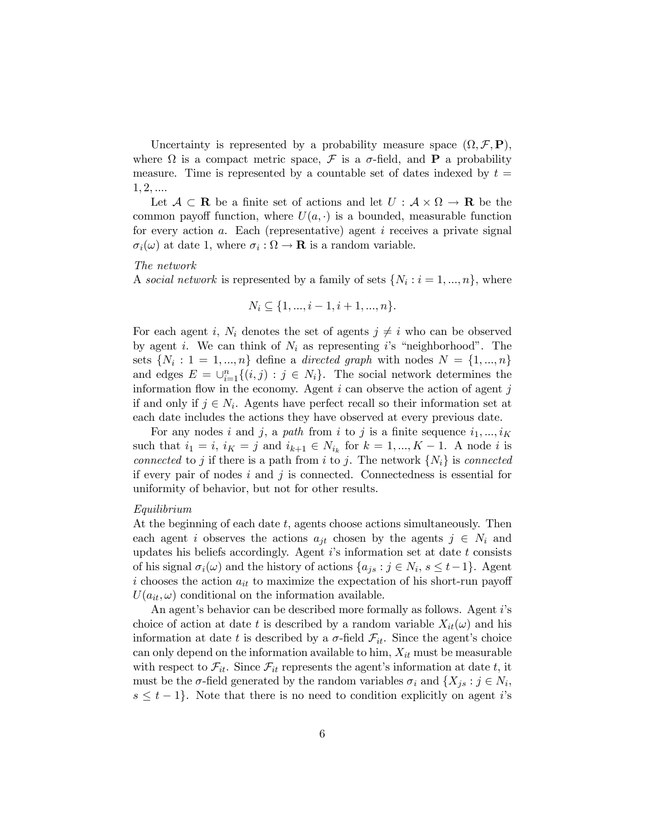Uncertainty is represented by a probability measure space  $(\Omega, \mathcal{F}, \mathbf{P}),$ where  $\Omega$  is a compact metric space,  $\mathcal F$  is a  $\sigma$ -field, and **P** a probability measure. Time is represented by a countable set of dates indexed by  $t =$  $1, 2, \ldots$ 

Let  $A \subset \mathbf{R}$  be a finite set of actions and let  $U : A \times \Omega \to \mathbf{R}$  be the common payoff function, where  $U(a, \cdot)$  is a bounded, measurable function for every action a. Each (representative) agent i receives a private signal  $\sigma_i(\omega)$  at date 1, where  $\sigma_i : \Omega \to \mathbf{R}$  is a random variable.

#### The network

A social network is represented by a family of sets  $\{N_i : i = 1, ..., n\}$ , where

$$
N_i \subseteq \{1, ..., i-1, i+1, ..., n\}.
$$

For each agent i,  $N_i$  denotes the set of agents  $j \neq i$  who can be observed by agent i. We can think of  $N_i$  as representing i's "neighborhood". The sets  $\{N_i:1=1,...,n\}$  define a *directed graph* with nodes  $N = \{1,...,n\}$ and edges  $E = \bigcup_{i=1}^{n} \{(i,j) : j \in N_i\}$ . The social network determines the information flow in the economy. Agent  $i$  can observe the action of agent  $j$ if and only if  $j \in N_i$ . Agents have perfect recall so their information set at each date includes the actions they have observed at every previous date.

For any nodes i and j, a path from i to j is a finite sequence  $i_1, ..., i_K$ such that  $i_1 = i$ ,  $i_K = j$  and  $i_{k+1} \in N_{i_k}$  for  $k = 1, ..., K - 1$ . A node i is connected to j if there is a path from i to j. The network  $\{N_i\}$  is connected if every pair of nodes  $i$  and  $j$  is connected. Connectedness is essential for uniformity of behavior, but not for other results.

#### Equilibrium

At the beginning of each date t, agents choose actions simultaneously. Then each agent i observes the actions  $a_{jt}$  chosen by the agents  $j \in N_i$  and updates his beliefs accordingly. Agent  $i$ 's information set at date  $t$  consists of his signal  $\sigma_i(\omega)$  and the history of actions  $\{a_{js} : j \in N_i, s \leq t-1\}$ . Agent i chooses the action  $a_{it}$  to maximize the expectation of his short-run payoff  $U(a_{it}, \omega)$  conditional on the information available.

An agent's behavior can be described more formally as follows. Agent i's choice of action at date t is described by a random variable  $X_{it}(\omega)$  and his information at date t is described by a  $\sigma$ -field  $\mathcal{F}_{it}$ . Since the agent's choice can only depend on the information available to him,  $X_{it}$  must be measurable with respect to  $\mathcal{F}_{it}$ . Since  $\mathcal{F}_{it}$  represents the agent's information at date t, it must be the  $\sigma$ -field generated by the random variables  $\sigma_i$  and  $\{X_{is} : j \in N_i,$  $s \leq t-1$ . Note that there is no need to condition explicitly on agent i's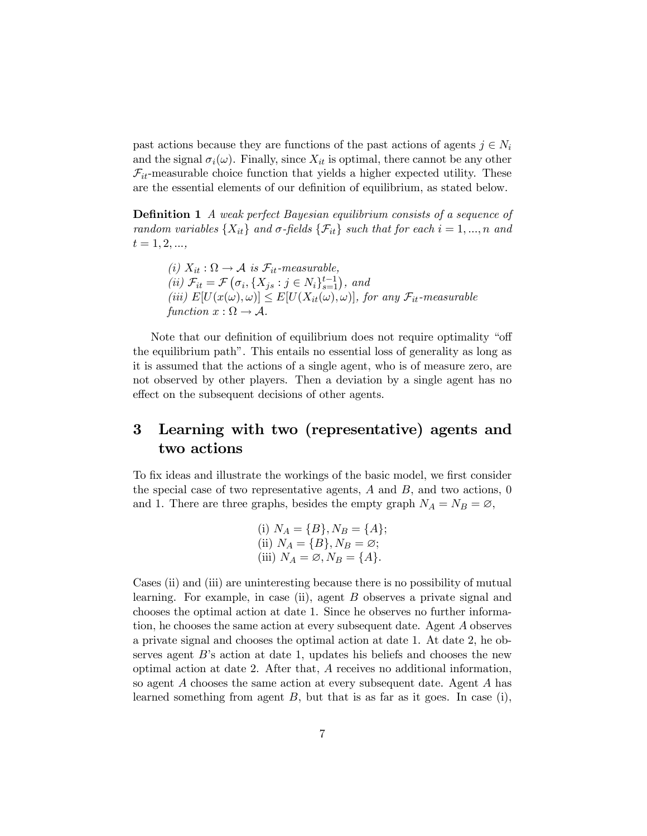past actions because they are functions of the past actions of agents  $j \in N_i$ and the signal  $\sigma_i(\omega)$ . Finally, since  $X_{it}$  is optimal, there cannot be any other  $\mathcal{F}_{it}$ -measurable choice function that yields a higher expected utility. These are the essential elements of our definition of equilibrium, as stated below.

Definition 1 A weak perfect Bayesian equilibrium consists of a sequence of random variables  $\{X_{it}\}\$ and  $\sigma$ -fields  $\{\mathcal{F}_{it}\}\$  such that for each  $i = 1, ..., n$  and  $t = 1, 2, ...,$ 

(i)  $X_{it} : \Omega \to \mathcal{A}$  is  $\mathcal{F}_{it}$ -measurable, (*ii*)  $\mathcal{F}_{it} = \mathcal{F}\left(\sigma_i, \{X_{js} : j \in N_i\}_{s=1}^{t-1}\right)$ , and (iii)  $E[U(x(\omega), \omega)] \le E[U(X_{it}(\omega), \omega)]$ , for any  $\mathcal{F}_{it}$ -measurable function  $x : \Omega \to A$ .

Note that our definition of equilibrium does not require optimality "off the equilibrium path". This entails no essential loss of generality as long as it is assumed that the actions of a single agent, who is of measure zero, are not observed by other players. Then a deviation by a single agent has no effect on the subsequent decisions of other agents.

## 3 Learning with two (representative) agents and two actions

To fix ideas and illustrate the workings of the basic model, we first consider the special case of two representative agents,  $A$  and  $B$ , and two actions, 0 and 1. There are three graphs, besides the empty graph  $N_A = N_B = \emptyset$ ,

(i) 
$$
N_A = \{B\}, N_B = \{A\};
$$
  
(ii)  $N_A = \{B\}, N_B = \emptyset;$   
(iii)  $N_A = \emptyset, N_B = \{A\}.$ 

Cases (ii) and (iii) are uninteresting because there is no possibility of mutual learning. For example, in case (ii), agent B observes a private signal and chooses the optimal action at date 1. Since he observes no further information, he chooses the same action at every subsequent date. Agent A observes a private signal and chooses the optimal action at date 1. At date 2, he observes agent  $B$ 's action at date 1, updates his beliefs and chooses the new optimal action at date 2. After that, A receives no additional information, so agent A chooses the same action at every subsequent date. Agent A has learned something from agent  $B$ , but that is as far as it goes. In case (i),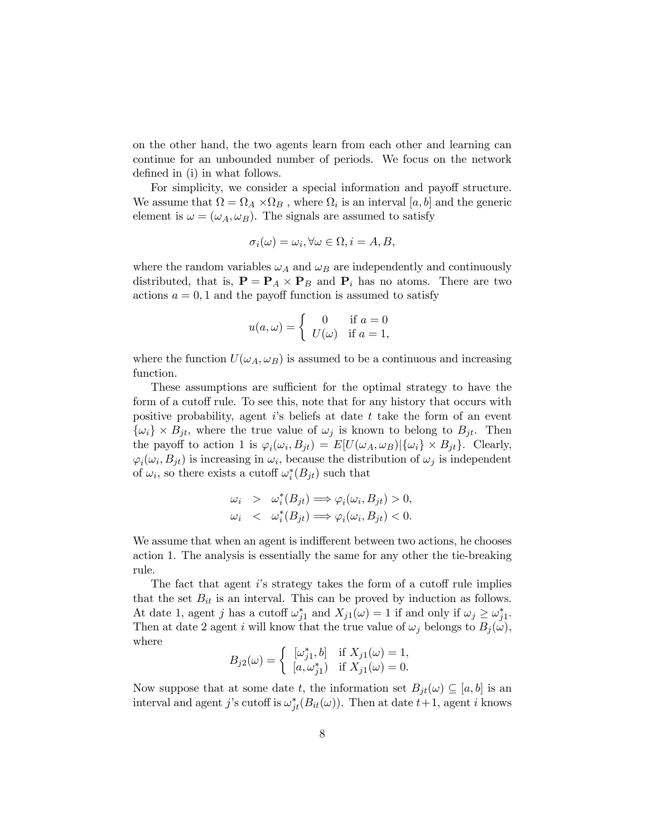on the other hand, the two agents learn from each other and learning can continue for an unbounded number of periods. We focus on the network defined in (i) in what follows.

For simplicity, we consider a special information and payoff structure. We assume that  $\Omega = \Omega_A \times \Omega_B$ , where  $\Omega_i$  is an interval [a, b] and the generic element is  $\omega = (\omega_A, \omega_B)$ . The signals are assumed to satisfy

$$
\sigma_i(\omega) = \omega_i, \forall \omega \in \Omega, i = A, B,
$$

where the random variables  $\omega_A$  and  $\omega_B$  are independently and continuously distributed, that is,  $P = P_A \times P_B$  and  $P_i$  has no atoms. There are two actions  $a = 0, 1$  and the payoff function is assumed to satisfy

$$
u(a,\omega) = \begin{cases} 0 & \text{if } a = 0\\ U(\omega) & \text{if } a = 1, \end{cases}
$$

where the function  $U(\omega_A, \omega_B)$  is assumed to be a continuous and increasing function.

These assumptions are sufficient for the optimal strategy to have the form of a cutoff rule. To see this, note that for any history that occurs with positive probability, agent  $i$ 's beliefs at date  $t$  take the form of an event  $\{\omega_i\} \times B_{it}$ , where the true value of  $\omega_i$  is known to belong to  $B_{it}$ . Then the payoff to action 1 is  $\varphi_i(\omega_i, B_{jt}) = E[U(\omega_A, \omega_B)|\{\omega_i\} \times B_{jt}\}.$  Clearly,  $\varphi_i(\omega_i, B_{jt})$  is increasing in  $\omega_i$ , because the distribution of  $\omega_j$  is independent of  $\omega_i$ , so there exists a cutoff  $\omega_i^*(B_{jt})$  such that

$$
\omega_i > \omega_i^*(B_{jt}) \Longrightarrow \varphi_i(\omega_i, B_{jt}) > 0,
$$
  

$$
\omega_i < \omega_i^*(B_{jt}) \Longrightarrow \varphi_i(\omega_i, B_{jt}) < 0.
$$

We assume that when an agent is indifferent between two actions, he chooses action 1. The analysis is essentially the same for any other the tie-breaking rule.

The fact that agent i's strategy takes the form of a cutoff rule implies that the set  $B_{it}$  is an interval. This can be proved by induction as follows. At date 1, agent j has a cutoff  $\omega_{j1}^*$  and  $X_{j1}(\omega)=1$  if and only if  $\omega_j \geq \omega_{j1}^*$ . Then at date 2 agent i will know that the true value of  $\omega_j$  belongs to  $B_j(\omega)$ , where

$$
B_{j2}(\omega) = \begin{cases} [\omega_{j1}^*, b] & \text{if } X_{j1}(\omega) = 1, \\ [a, \omega_{j1}^*) & \text{if } X_{j1}(\omega) = 0. \end{cases}
$$

Now suppose that at some date t, the information set  $B_{jt}(\omega) \subseteq [a, b]$  is an interval and agent j's cutoff is  $\omega_{jt}^*(B_{it}(\omega))$ . Then at date  $t+1$ , agent i knows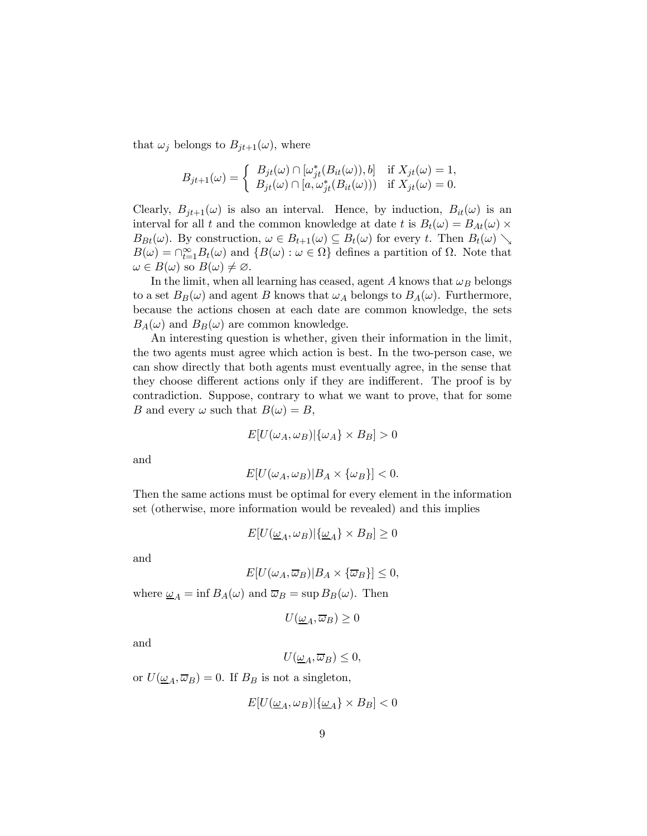that  $\omega_j$  belongs to  $B_{jt+1}(\omega)$ , where

$$
B_{jt+1}(\omega) = \begin{cases} B_{jt}(\omega) \cap [\omega_{jt}^*(B_{it}(\omega)), b] & \text{if } X_{jt}(\omega) = 1, \\ B_{jt}(\omega) \cap [a, \omega_{jt}^*(B_{it}(\omega))) & \text{if } X_{jt}(\omega) = 0. \end{cases}
$$

Clearly,  $B_{jt+1}(\omega)$  is also an interval. Hence, by induction,  $B_{it}(\omega)$  is an interval for all t and the common knowledge at date t is  $B_t(\omega) = B_{At}(\omega) \times$  $B_{Bt}(\omega)$ . By construction,  $\omega \in B_{t+1}(\omega) \subseteq B_t(\omega)$  for every t. Then  $B_t(\omega) \searrow$  $B(\omega) = \bigcap_{t=1}^{\infty} B_t(\omega)$  and  $\{B(\omega) : \omega \in \Omega\}$  defines a partition of  $\Omega$ . Note that  $\omega \in B(\omega)$  so  $B(\omega) \neq \emptyset$ .

In the limit, when all learning has ceased, agent A knows that  $\omega_B$  belongs to a set  $B_B(\omega)$  and agent B knows that  $\omega_A$  belongs to  $B_A(\omega)$ . Furthermore, because the actions chosen at each date are common knowledge, the sets  $B_A(\omega)$  and  $B_B(\omega)$  are common knowledge.

An interesting question is whether, given their information in the limit, the two agents must agree which action is best. In the two-person case, we can show directly that both agents must eventually agree, in the sense that they choose different actions only if they are indifferent. The proof is by contradiction. Suppose, contrary to what we want to prove, that for some B and every  $\omega$  such that  $B(\omega) = B$ ,

$$
E[U(\omega_A, \omega_B)|\{\omega_A\} \times B_B] > 0
$$

and

$$
E[U(\omega_A, \omega_B)|B_A \times {\omega_B}] < 0.
$$

Then the same actions must be optimal for every element in the information set (otherwise, more information would be revealed) and this implies

$$
E[U(\underline{\omega}_A, \omega_B)|\{\underline{\omega}_A\} \times B_B] \ge 0
$$

and

$$
E[U(\omega_A, \overline{\omega}_B)|B_A \times {\overline{\omega}_B}] \leq 0,
$$

where  $\underline{\omega}_A = \inf B_A(\omega)$  and  $\overline{\omega}_B = \sup B_B(\omega)$ . Then

$$
U(\underline{\omega}_A, \overline{\omega}_B) \ge 0
$$

and

$$
U(\underline{\omega}_A, \overline{\omega}_B) \le 0,
$$

or  $U(\underline{\omega}_A, \overline{\omega}_B)=0$ . If  $B_B$  is not a singleton,

$$
E[U(\underline{\omega}_A, \omega_B)|\{\underline{\omega}_A\} \times B_B] < 0
$$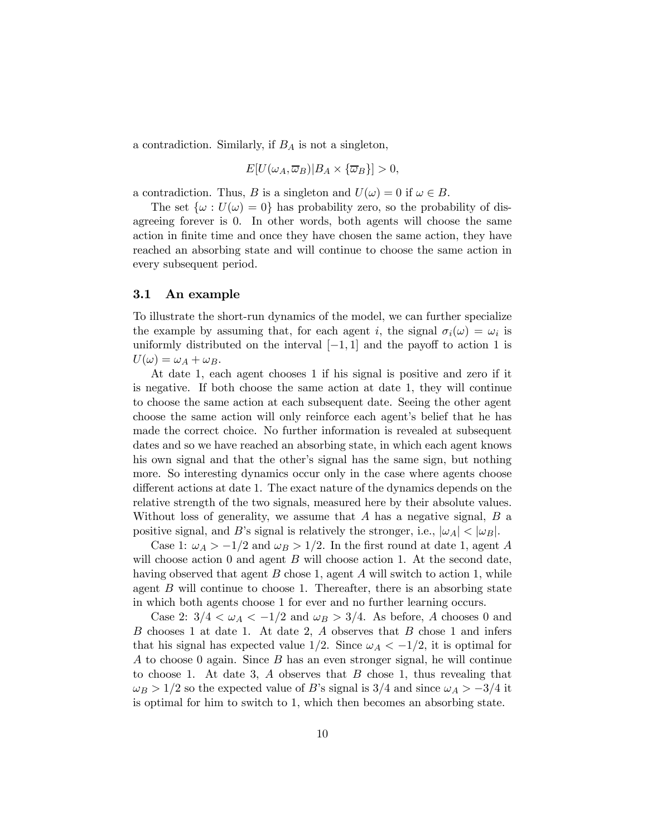a contradiction. Similarly, if  $B<sub>A</sub>$  is not a singleton,

$$
E[U(\omega_A, \overline{\omega}_B)|B_A \times {\overline{\omega}_B}] > 0,
$$

a contradiction. Thus, B is a singleton and  $U(\omega)=0$  if  $\omega \in B$ .

The set  $\{\omega : U(\omega)=0\}$  has probability zero, so the probability of disagreeing forever is 0. In other words, both agents will choose the same action in finite time and once they have chosen the same action, they have reached an absorbing state and will continue to choose the same action in every subsequent period.

#### 3.1 An example

To illustrate the short-run dynamics of the model, we can further specialize the example by assuming that, for each agent i, the signal  $\sigma_i(\omega) = \omega_i$  is uniformly distributed on the interval  $[-1, 1]$  and the payoff to action 1 is  $U(\omega) = \omega_A + \omega_B.$ 

At date 1, each agent chooses 1 if his signal is positive and zero if it is negative. If both choose the same action at date 1, they will continue to choose the same action at each subsequent date. Seeing the other agent choose the same action will only reinforce each agent's belief that he has made the correct choice. No further information is revealed at subsequent dates and so we have reached an absorbing state, in which each agent knows his own signal and that the other's signal has the same sign, but nothing more. So interesting dynamics occur only in the case where agents choose different actions at date 1. The exact nature of the dynamics depends on the relative strength of the two signals, measured here by their absolute values. Without loss of generality, we assume that  $A$  has a negative signal,  $B$  a positive signal, and B's signal is relatively the stronger, i.e.,  $|\omega_A| < |\omega_B|$ .

Case 1:  $\omega_A > -1/2$  and  $\omega_B > 1/2$ . In the first round at date 1, agent A will choose action 0 and agent  $B$  will choose action 1. At the second date, having observed that agent  $B$  chose 1, agent  $A$  will switch to action 1, while agent  $B$  will continue to choose 1. Thereafter, there is an absorbing state in which both agents choose 1 for ever and no further learning occurs.

Case 2:  $3/4 < \omega_A < -1/2$  and  $\omega_B > 3/4$ . As before, A chooses 0 and B chooses 1 at date 1. At date 2, A observes that B chose 1 and infers that his signal has expected value  $1/2$ . Since  $\omega_A < -1/2$ , it is optimal for A to choose 0 again. Since  $B$  has an even stronger signal, he will continue to choose 1. At date 3, A observes that  $B$  chose 1, thus revealing that  $\omega_B > 1/2$  so the expected value of B's signal is 3/4 and since  $\omega_A > -3/4$  it is optimal for him to switch to 1, which then becomes an absorbing state.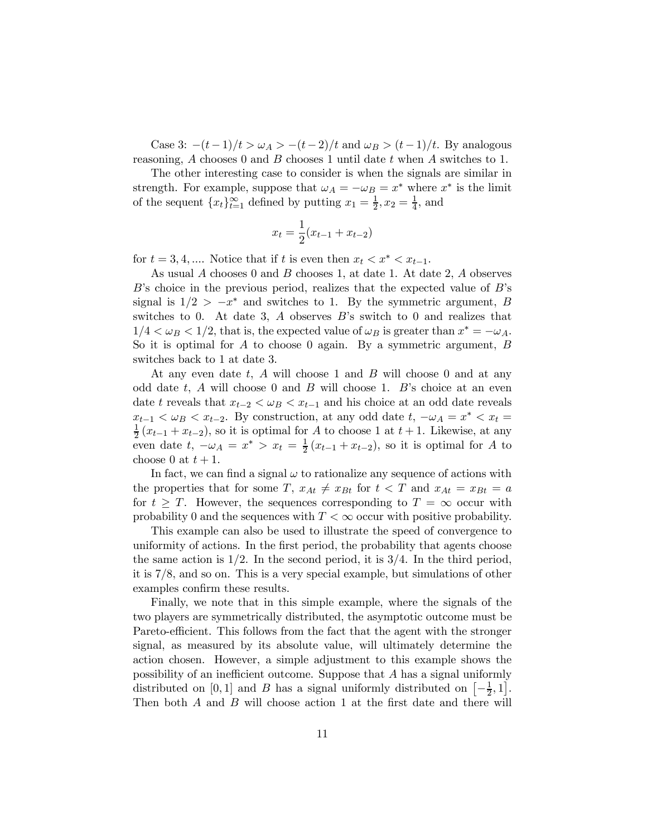Case 3:  $-(t-1)/t > \omega_A > -(t-2)/t$  and  $\omega_B > (t-1)/t$ . By analogous reasoning,  $A$  chooses 0 and  $B$  chooses 1 until date t when  $A$  switches to 1.

The other interesting case to consider is when the signals are similar in strength. For example, suppose that  $\omega_A = -\omega_B = x^*$  where  $x^*$  is the limit of the sequent  ${x_t}_{t=1}^{\infty}$  defined by putting  $x_1 = \frac{1}{2}, x_2 = \frac{1}{4}$ , and

$$
x_t = \frac{1}{2}(x_{t-1} + x_{t-2})
$$

for  $t = 3, 4, \dots$  Notice that if t is even then  $x_t < x^* < x_{t-1}$ .

As usual  $A$  chooses  $0$  and  $B$  chooses 1, at date 1. At date 2,  $A$  observes  $B$ 's choice in the previous period, realizes that the expected value of  $B$ 's signal is  $1/2$  >  $-x^*$  and switches to 1. By the symmetric argument, B switches to 0. At date 3,  $\hat{A}$  observes  $\hat{B}$ 's switch to 0 and realizes that  $1/4 < \omega_B < 1/2$ , that is, the expected value of  $\omega_B$  is greater than  $x^* = -\omega_A$ . So it is optimal for A to choose 0 again. By a symmetric argument, B switches back to 1 at date 3.

At any even date  $t$ ,  $A$  will choose 1 and  $B$  will choose 0 and at any odd date t, A will choose 0 and B will choose 1. B's choice at an even date t reveals that  $x_{t-2} < \omega_B < x_{t-1}$  and his choice at an odd date reveals  $x_{t-1} < \omega_B < x_{t-2}$ . By construction, at any odd date  $t, -\omega_A = x^* < x_t =$  $\frac{1}{2}(x_{t-1}+x_{t-2}),$  so it is optimal for A to choose 1 at  $t+1$ . Likewise, at any even date  $t, -\omega_A = x^* > x_t = \frac{1}{2}(x_{t-1} + x_{t-2})$ , so it is optimal for A to choose 0 at  $t + 1$ .

In fact, we can find a signal  $\omega$  to rationalize any sequence of actions with the properties that for some T,  $x_{At} \neq x_{Bt}$  for  $t < T$  and  $x_{At} = x_{Bt} = a$ for  $t \geq T$ . However, the sequences corresponding to  $T = \infty$  occur with probability 0 and the sequences with  $T < \infty$  occur with positive probability.

This example can also be used to illustrate the speed of convergence to uniformity of actions. In the first period, the probability that agents choose the same action is  $1/2$ . In the second period, it is  $3/4$ . In the third period, it is 7/8, and so on. This is a very special example, but simulations of other examples confirm these results.

Finally, we note that in this simple example, where the signals of the two players are symmetrically distributed, the asymptotic outcome must be Pareto-efficient. This follows from the fact that the agent with the stronger signal, as measured by its absolute value, will ultimately determine the action chosen. However, a simple adjustment to this example shows the possibility of an inefficient outcome. Suppose that A has a signal uniformly distributed on [0, 1] and B has a signal uniformly distributed on  $\left[-\frac{1}{2}, 1\right]$ . Then both A and B will choose action 1 at the first date and there will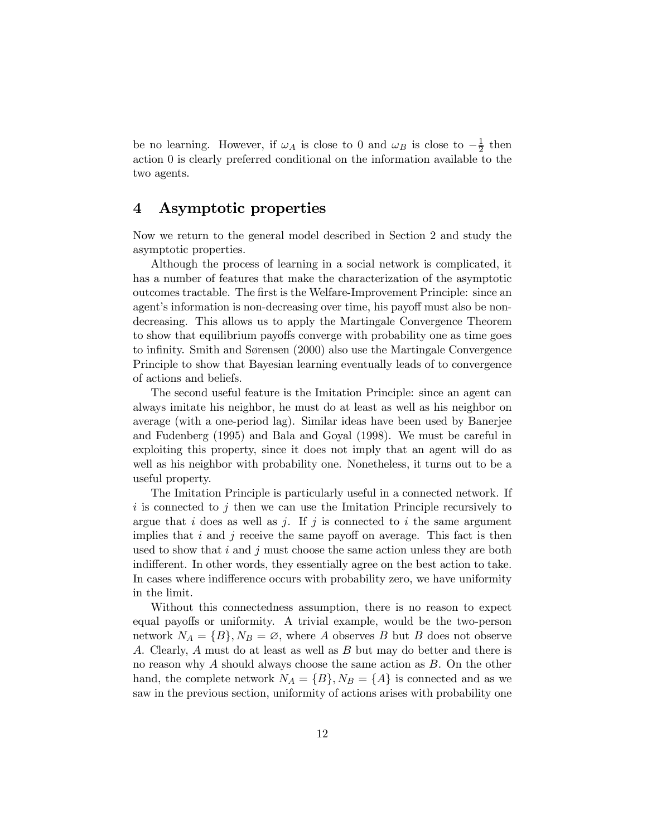be no learning. However, if  $\omega_A$  is close to 0 and  $\omega_B$  is close to  $-\frac{1}{2}$  then action 0 is clearly preferred conditional on the information available to the two agents.

### 4 Asymptotic properties

Now we return to the general model described in Section 2 and study the asymptotic properties.

Although the process of learning in a social network is complicated, it has a number of features that make the characterization of the asymptotic outcomes tractable. The first is the Welfare-Improvement Principle: since an agent's information is non-decreasing over time, his payoff must also be nondecreasing. This allows us to apply the Martingale Convergence Theorem to show that equilibrium payoffs converge with probability one as time goes to infinity. Smith and Sørensen (2000) also use the Martingale Convergence Principle to show that Bayesian learning eventually leads of to convergence of actions and beliefs.

The second useful feature is the Imitation Principle: since an agent can always imitate his neighbor, he must do at least as well as his neighbor on average (with a one-period lag). Similar ideas have been used by Banerjee and Fudenberg (1995) and Bala and Goyal (1998). We must be careful in exploiting this property, since it does not imply that an agent will do as well as his neighbor with probability one. Nonetheless, it turns out to be a useful property.

The Imitation Principle is particularly useful in a connected network. If  $i$  is connected to j then we can use the Imitation Principle recursively to argue that i does as well as j. If j is connected to i the same argument implies that  $i$  and  $j$  receive the same payoff on average. This fact is then used to show that i and j must choose the same action unless they are both indifferent. In other words, they essentially agree on the best action to take. In cases where indifference occurs with probability zero, we have uniformity in the limit.

Without this connectedness assumption, there is no reason to expect equal payoffs or uniformity. A trivial example, would be the two-person network  $N_A = \{B\}, N_B = \emptyset$ , where A observes B but B does not observe A. Clearly, A must do at least as well as B but may do better and there is no reason why A should always choose the same action as B. On the other hand, the complete network  $N_A = \{B\}$ ,  $N_B = \{A\}$  is connected and as we saw in the previous section, uniformity of actions arises with probability one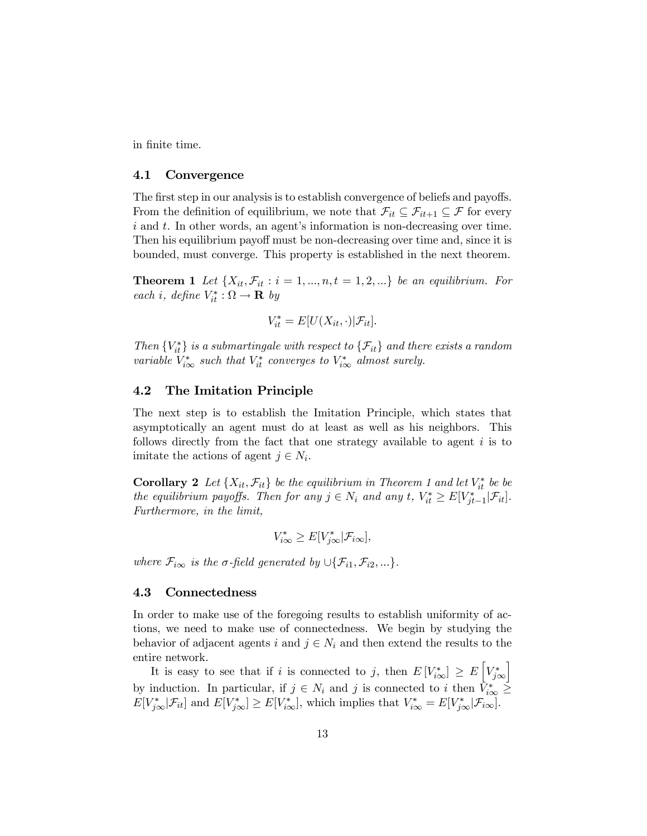in finite time.

#### 4.1 Convergence

The first step in our analysis is to establish convergence of beliefs and payoffs. From the definition of equilibrium, we note that  $\mathcal{F}_{it} \subseteq \mathcal{F}_{it+1} \subseteq \mathcal{F}$  for every i and t. In other words, an agent's information is non-decreasing over time. Then his equilibrium payoff must be non-decreasing over time and, since it is bounded, must converge. This property is established in the next theorem.

**Theorem 1** Let  $\{X_{it}, \mathcal{F}_{it} : i = 1, ..., n, t = 1, 2, ...\}$  be an equilibrium. For each i, define  $V_{it}^* : \Omega \to \mathbf{R}$  by

$$
V_{it}^* = E[U(X_{it}, \cdot) | \mathcal{F}_{it}].
$$

Then  ${V_{it}^{*}}$  is a submartingale with respect to  ${\{\mathcal{F}_{it}\}}$  and there exists a random variable  $V_{i\infty}^*$  such that  $V_{it}^*$  converges to  $V_{i\infty}^*$  almost surely.

### 4.2 The Imitation Principle

The next step is to establish the Imitation Principle, which states that asymptotically an agent must do at least as well as his neighbors. This follows directly from the fact that one strategy available to agent  $i$  is to imitate the actions of agent  $j \in N_i$ .

**Corollary 2** Let  $\{X_{it}, \mathcal{F}_{it}\}$  be the equilibrium in Theorem 1 and let  $V_{it}^*$  be be the equilibrium payoffs. Then for any  $j \in N_i$  and any  $t, V_{it}^* \geq E[V_{jt-1}^*|\mathcal{F}_{it}].$ Furthermore, in the limit,

$$
V_{i\infty}^* \ge E[V_{j\infty}^*|\mathcal{F}_{i\infty}],
$$

where  $\mathcal{F}_{i\infty}$  is the  $\sigma$ -field generated by  $\cup {\mathcal{F}_{i1}, \mathcal{F}_{i2}, ...}$ .

#### 4.3 Connectedness

In order to make use of the foregoing results to establish uniformity of actions, we need to make use of connectedness. We begin by studying the behavior of adjacent agents i and  $j \in N_i$  and then extend the results to the entire network.

It is easy to see that if i is connected to j, then  $E[V^*_{i\infty}] \geq E[V^*_{j\infty}]$ i by induction. In particular, if  $j \in N_i$  and j is connected to i then  $\overline{V}_{i\infty}^* \geq$  $E[V^*_{j\infty}|\mathcal{F}_{it}]$  and  $E[V^*_{j\infty}] \geq E[V^*_{i\infty}]$ , which implies that  $V^*_{i\infty} = E[V^*_{j\infty}|\mathcal{F}_{i\infty}]$ .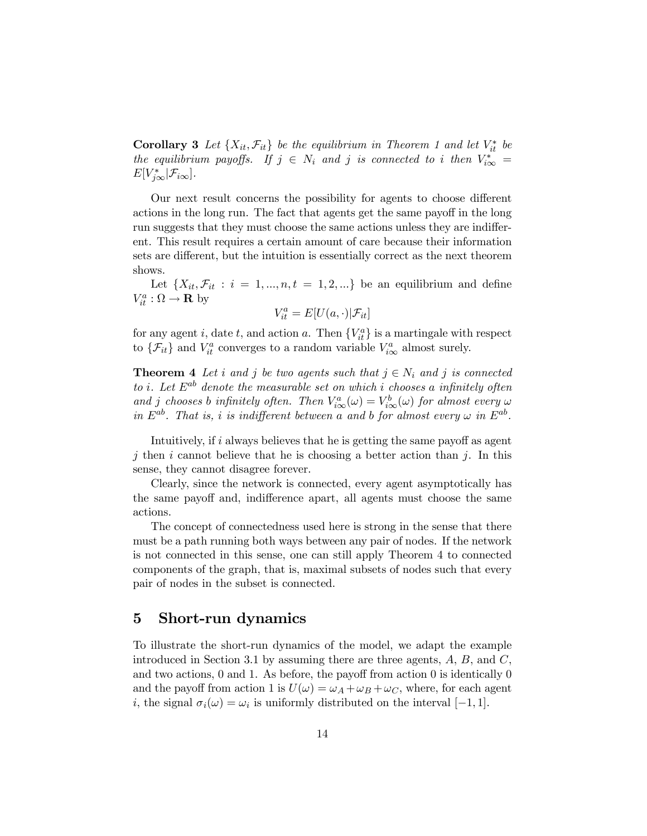**Corollary 3** Let  $\{X_{it}, \mathcal{F}_{it}\}\$ be the equilibrium in Theorem 1 and let  $V_{it}^*$  be the equilibrium payoffs. If  $j \in N_i$  and j is connected to i then  $V_{i\infty}^* = \frac{1}{n} \sum_{i=1}^{n} \sum_{j=1}^{n}$  $E[V^*_{j\infty}|\mathcal{F}_{i\infty}].$ 

Our next result concerns the possibility for agents to choose different actions in the long run. The fact that agents get the same payoff in the long run suggests that they must choose the same actions unless they are indifferent. This result requires a certain amount of care because their information sets are different, but the intuition is essentially correct as the next theorem shows.

Let  $\{X_{it}, \mathcal{F}_{it} : i = 1, ..., n, t = 1, 2, ...\}$  be an equilibrium and define  $V_{it}^a: \Omega \to \mathbf{R}$  by

$$
V_{it}^a = E[U(a,\cdot)|\mathcal{F}_{it}]
$$

for any agent i, date t, and action a. Then  ${V_{it}^a}$  is a martingale with respect to  $\{\mathcal{F}_{it}\}\$  and  $V_{it}^a$  converges to a random variable  $V_{i\infty}^a$  almost surely.

**Theorem 4** Let i and j be two agents such that  $j \in N_i$  and j is connected to i. Let  $E^{ab}$  denote the measurable set on which i chooses a infinitely often and j chooses b infinitely often. Then  $V_{i\infty}^a(\omega) = V_{i\infty}^b(\omega)$  for almost every  $\omega$ in  $E^{ab}$ . That is, i is indifferent between a and b for almost every  $\omega$  in  $E^{ab}$ .

Intuitively, if  $i$  always believes that he is getting the same payoff as agent j then i cannot believe that he is choosing a better action than j. In this sense, they cannot disagree forever.

Clearly, since the network is connected, every agent asymptotically has the same payoff and, indifference apart, all agents must choose the same actions.

The concept of connectedness used here is strong in the sense that there must be a path running both ways between any pair of nodes. If the network is not connected in this sense, one can still apply Theorem 4 to connected components of the graph, that is, maximal subsets of nodes such that every pair of nodes in the subset is connected.

### 5 Short-run dynamics

To illustrate the short-run dynamics of the model, we adapt the example introduced in Section 3.1 by assuming there are three agents,  $A, B$ , and  $C$ , and two actions, 0 and 1. As before, the payoff from action 0 is identically 0 and the payoff from action 1 is  $U(\omega) = \omega_A + \omega_B + \omega_C$ , where, for each agent i, the signal  $\sigma_i(\omega) = \omega_i$  is uniformly distributed on the interval [−1, 1].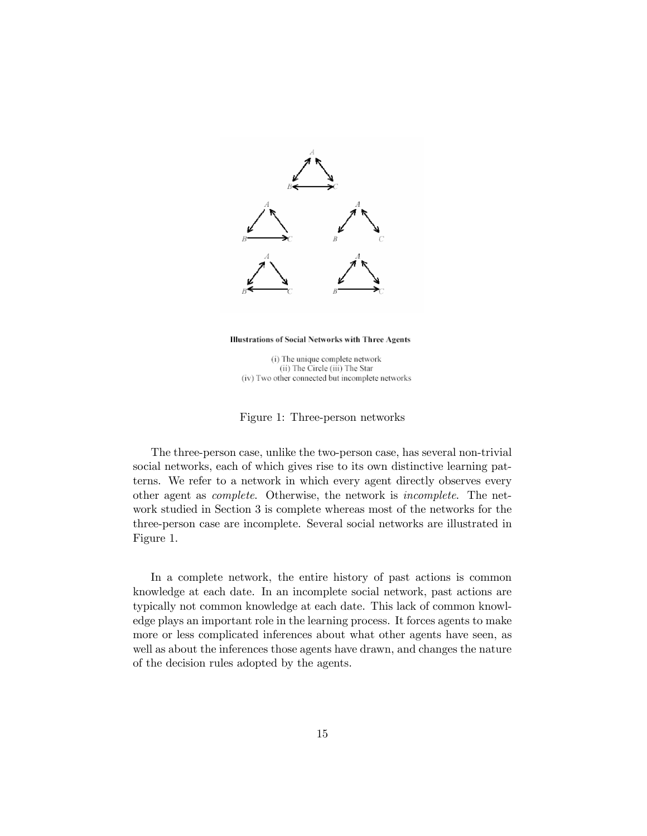

#### **Illustrations of Social Networks with Three Agents**

(i) The unique complete network (ii) The Circle (iii) The Star (iv) Two other connected but incomplete networks

Figure 1: Three-person networks

The three-person case, unlike the two-person case, has several non-trivial social networks, each of which gives rise to its own distinctive learning patterns. We refer to a network in which every agent directly observes every other agent as complete. Otherwise, the network is incomplete. The network studied in Section 3 is complete whereas most of the networks for the three-person case are incomplete. Several social networks are illustrated in Figure 1.

In a complete network, the entire history of past actions is common knowledge at each date. In an incomplete social network, past actions are typically not common knowledge at each date. This lack of common knowledge plays an important role in the learning process. It forces agents to make more or less complicated inferences about what other agents have seen, as well as about the inferences those agents have drawn, and changes the nature of the decision rules adopted by the agents.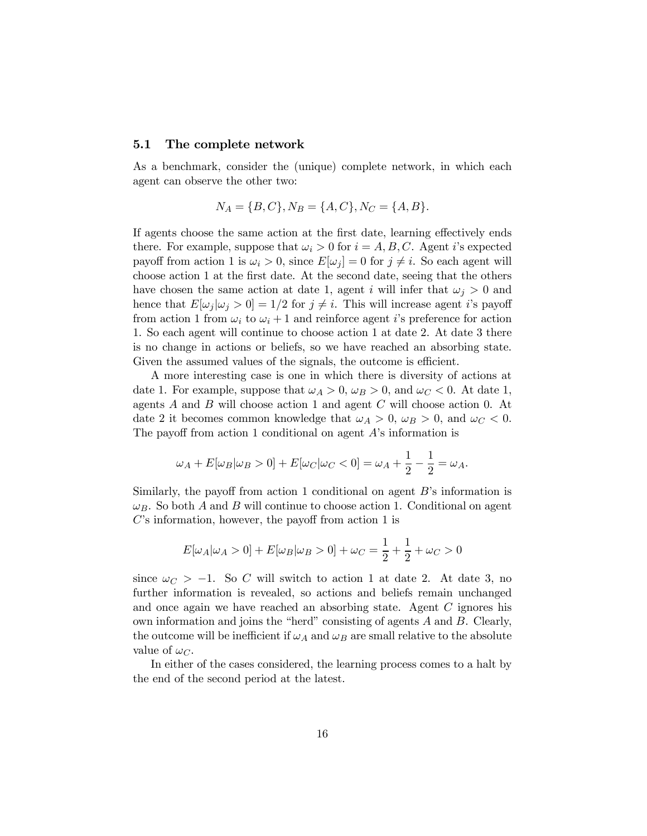### 5.1 The complete network

As a benchmark, consider the (unique) complete network, in which each agent can observe the other two:

$$
N_A = \{B, C\}, N_B = \{A, C\}, N_C = \{A, B\}.
$$

If agents choose the same action at the first date, learning effectively ends there. For example, suppose that  $\omega_i > 0$  for  $i = A, B, C$ . Agent i's expected payoff from action 1 is  $\omega_i > 0$ , since  $E[\omega_i] = 0$  for  $j \neq i$ . So each agent will choose action 1 at the first date. At the second date, seeing that the others have chosen the same action at date 1, agent i will infer that  $\omega_j > 0$  and hence that  $E[\omega_j | \omega_j > 0] = 1/2$  for  $j \neq i$ . This will increase agent i's payoff from action 1 from  $\omega_i$  to  $\omega_i + 1$  and reinforce agent *i*'s preference for action 1. So each agent will continue to choose action 1 at date 2. At date 3 there is no change in actions or beliefs, so we have reached an absorbing state. Given the assumed values of the signals, the outcome is efficient.

A more interesting case is one in which there is diversity of actions at date 1. For example, suppose that  $\omega_A > 0$ ,  $\omega_B > 0$ , and  $\omega_C < 0$ . At date 1, agents  $A$  and  $B$  will choose action 1 and agent  $C$  will choose action 0. At date 2 it becomes common knowledge that  $\omega_A > 0$ ,  $\omega_B > 0$ , and  $\omega_C < 0$ . The payoff from action 1 conditional on agent  $A$ 's information is

$$
\omega_A + E[\omega_B|\omega_B > 0] + E[\omega_C|\omega_C < 0] = \omega_A + \frac{1}{2} - \frac{1}{2} = \omega_A.
$$

Similarly, the payoff from action 1 conditional on agent  $B$ 's information is  $\omega_B$ . So both A and B will continue to choose action 1. Conditional on agent C's information, however, the payoff from action 1 is

$$
E[\omega_A|\omega_A > 0] + E[\omega_B|\omega_B > 0] + \omega_C = \frac{1}{2} + \frac{1}{2} + \omega_C > 0
$$

since  $\omega_C > -1$ . So C will switch to action 1 at date 2. At date 3, no further information is revealed, so actions and beliefs remain unchanged and once again we have reached an absorbing state. Agent C ignores his own information and joins the "herd" consisting of agents A and B. Clearly, the outcome will be inefficient if  $\omega_A$  and  $\omega_B$  are small relative to the absolute value of  $\omega_C$ .

In either of the cases considered, the learning process comes to a halt by the end of the second period at the latest.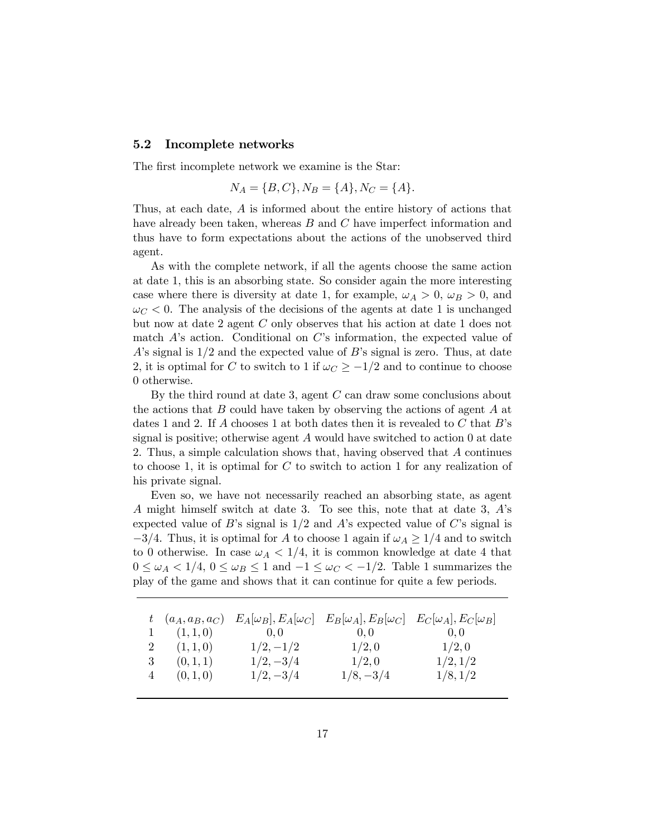### 5.2 Incomplete networks

The first incomplete network we examine is the Star:

$$
N_A = \{B, C\}, N_B = \{A\}, N_C = \{A\}.
$$

Thus, at each date, A is informed about the entire history of actions that have already been taken, whereas B and C have imperfect information and thus have to form expectations about the actions of the unobserved third agent.

As with the complete network, if all the agents choose the same action at date 1, this is an absorbing state. So consider again the more interesting case where there is diversity at date 1, for example,  $\omega_A > 0$ ,  $\omega_B > 0$ , and  $\omega_C$  < 0. The analysis of the decisions of the agents at date 1 is unchanged but now at date 2 agent C only observes that his action at date 1 does not match A's action. Conditional on C's information, the expected value of A's signal is  $1/2$  and the expected value of B's signal is zero. Thus, at date 2, it is optimal for C to switch to 1 if  $\omega_C \ge -1/2$  and to continue to choose 0 otherwise.

By the third round at date 3, agent  $C$  can draw some conclusions about the actions that B could have taken by observing the actions of agent A at dates 1 and 2. If A chooses 1 at both dates then it is revealed to C that  $B$ 's signal is positive; otherwise agent A would have switched to action 0 at date 2. Thus, a simple calculation shows that, having observed that A continues to choose 1, it is optimal for  $C$  to switch to action 1 for any realization of his private signal.

Even so, we have not necessarily reached an absorbing state, as agent A might himself switch at date 3. To see this, note that at date 3, A's expected value of B's signal is  $1/2$  and A's expected value of C's signal is  $-3/4$ . Thus, it is optimal for A to choose 1 again if  $\omega_A \geq 1/4$  and to switch to 0 otherwise. In case  $\omega_A < 1/4$ , it is common knowledge at date 4 that  $0 \leq \omega_A < 1/4$ ,  $0 \leq \omega_B \leq 1$  and  $-1 \leq \omega_C < -1/2$ . Table 1 summarizes the play of the game and shows that it can continue for quite a few periods.

| $t \quad (a_A, a_B, a_C)$ | $E_A \omega_B , E_A \omega_C $ | $E_B[\omega_A], E_B[\omega_C]$ | $E_C[\omega_A], E_C[\omega_B]$ |
|---------------------------|--------------------------------|--------------------------------|--------------------------------|
| $1\qquad (1,1,0)$         | 0,0                            | 0,0                            | 0,0                            |
| (1, 1, 0)                 | $1/2, -1/2$                    | 1/2,0                          | 1/2,0                          |
| (0,1,1)                   | $1/2, -3/4$                    | 1/2,0                          | 1/2, 1/2                       |
| (0,1,0)                   | $1/2, -3/4$                    | $1/8, -3/4$                    | 1/8, 1/2                       |
|                           |                                |                                |                                |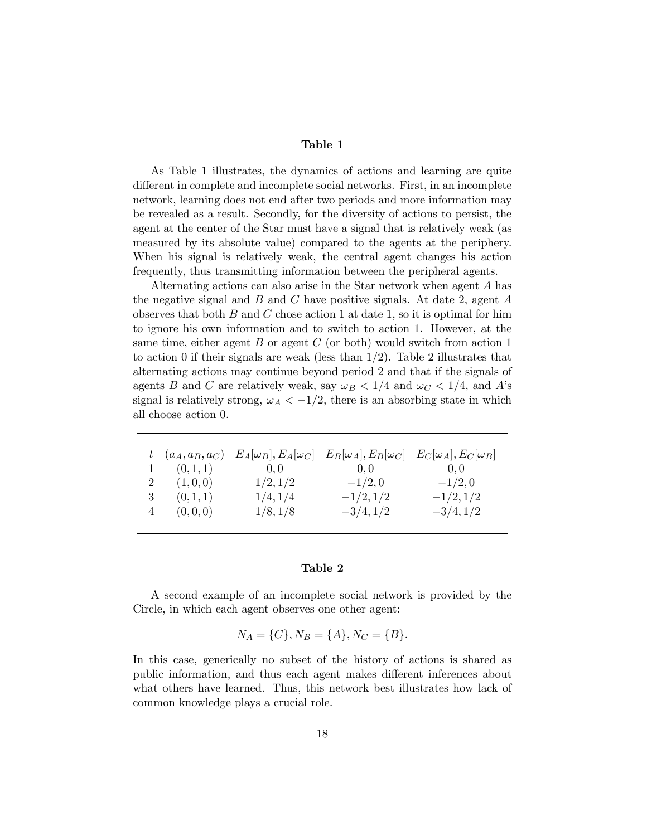### Table 1

As Table 1 illustrates, the dynamics of actions and learning are quite different in complete and incomplete social networks. First, in an incomplete network, learning does not end after two periods and more information may be revealed as a result. Secondly, for the diversity of actions to persist, the agent at the center of the Star must have a signal that is relatively weak (as measured by its absolute value) compared to the agents at the periphery. When his signal is relatively weak, the central agent changes his action frequently, thus transmitting information between the peripheral agents.

Alternating actions can also arise in the Star network when agent A has the negative signal and B and C have positive signals. At date 2, agent A observes that both B and C chose action 1 at date 1, so it is optimal for him to ignore his own information and to switch to action 1. However, at the same time, either agent  $B$  or agent  $C$  (or both) would switch from action 1 to action 0 if their signals are weak (less than 1/2). Table 2 illustrates that alternating actions may continue beyond period 2 and that if the signals of agents B and C are relatively weak, say  $\omega_B < 1/4$  and  $\omega_C < 1/4$ , and A's signal is relatively strong,  $\omega_A < -1/2$ , there is an absorbing state in which all choose action 0.

|   | $t \left(a_A, a_B, a_C\right)$ | $E_A[\omega_B], E_A[\omega_C]$ | $E_B[\omega_A], E_B[\omega_C]$ | $E_C[\omega_A], E_C[\omega_B]$ |
|---|--------------------------------|--------------------------------|--------------------------------|--------------------------------|
|   | $1\qquad (0,1,1)$              | 0,0                            | 0,0                            | 0,0                            |
|   | (1,0,0)                        | 1/2, 1/2                       | $-1/2,0$                       | $-1/2,0$                       |
|   | (0,1,1)                        | 1/4, 1/4                       | $-1/2, 1/2$                    | $-1/2, 1/2$                    |
| 4 | (0,0,0)                        | 1/8, 1/8                       | $-3/4, 1/2$                    | $-3/4, 1/2$                    |
|   |                                |                                |                                |                                |

#### Table 2

A second example of an incomplete social network is provided by the Circle, in which each agent observes one other agent:

$$
N_A = \{C\}, N_B = \{A\}, N_C = \{B\}.
$$

In this case, generically no subset of the history of actions is shared as public information, and thus each agent makes different inferences about what others have learned. Thus, this network best illustrates how lack of common knowledge plays a crucial role.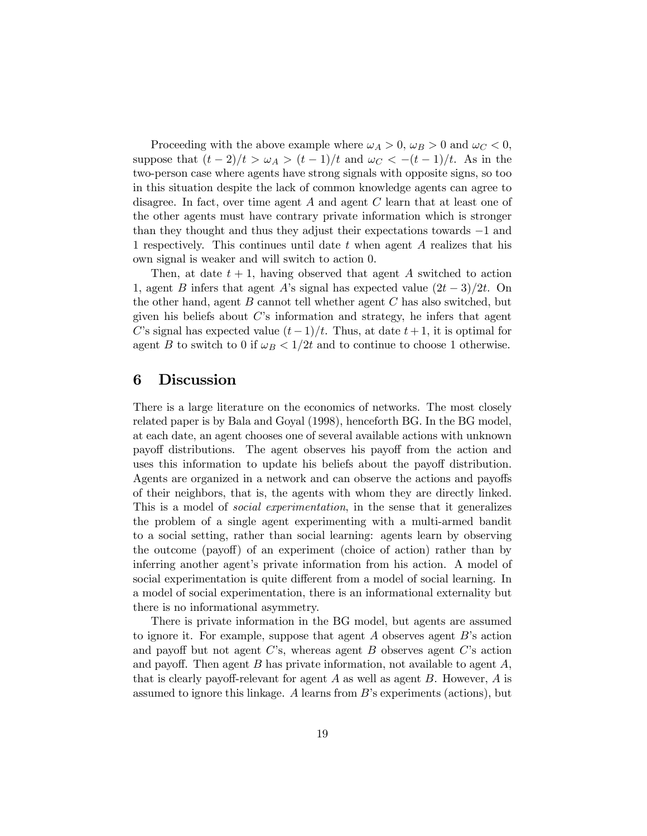Proceeding with the above example where  $\omega_A > 0$ ,  $\omega_B > 0$  and  $\omega_C < 0$ , suppose that  $(t-2)/t > \omega_A > (t-1)/t$  and  $\omega_C < -(t-1)/t$ . As in the two-person case where agents have strong signals with opposite signs, so too in this situation despite the lack of common knowledge agents can agree to disagree. In fact, over time agent  $A$  and agent  $C$  learn that at least one of the other agents must have contrary private information which is stronger than they thought and thus they adjust their expectations towards −1 and 1 respectively. This continues until date t when agent A realizes that his own signal is weaker and will switch to action 0.

Then, at date  $t + 1$ , having observed that agent A switched to action 1, agent B infers that agent A's signal has expected value  $(2t-3)/2t$ . On the other hand, agent  $B$  cannot tell whether agent  $C$  has also switched, but given his beliefs about  $C$ 's information and strategy, he infers that agent C's signal has expected value  $(t-1)/t$ . Thus, at date  $t+1$ , it is optimal for agent B to switch to 0 if  $\omega_B < 1/2t$  and to continue to choose 1 otherwise.

### 6 Discussion

There is a large literature on the economics of networks. The most closely related paper is by Bala and Goyal (1998), henceforth BG. In the BG model, at each date, an agent chooses one of several available actions with unknown payoff distributions. The agent observes his payoff from the action and uses this information to update his beliefs about the payoff distribution. Agents are organized in a network and can observe the actions and payoffs of their neighbors, that is, the agents with whom they are directly linked. This is a model of social experimentation, in the sense that it generalizes the problem of a single agent experimenting with a multi-armed bandit to a social setting, rather than social learning: agents learn by observing the outcome (payoff) of an experiment (choice of action) rather than by inferring another agent's private information from his action. A model of social experimentation is quite different from a model of social learning. In a model of social experimentation, there is an informational externality but there is no informational asymmetry.

There is private information in the BG model, but agents are assumed to ignore it. For example, suppose that agent  $A$  observes agent  $B$ 's action and payoff but not agent  $C$ 's, whereas agent  $B$  observes agent  $C$ 's action and payoff. Then agent  $B$  has private information, not available to agent  $A$ , that is clearly payoff-relevant for agent  $A$  as well as agent  $B$ . However,  $A$  is assumed to ignore this linkage. A learns from B's experiments (actions), but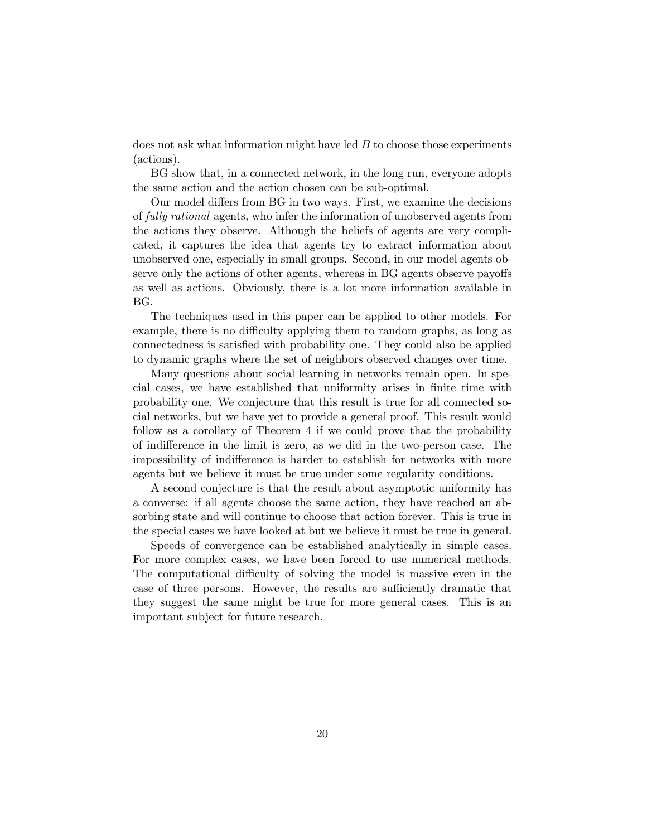does not ask what information might have led  $B$  to choose those experiments (actions).

BG show that, in a connected network, in the long run, everyone adopts the same action and the action chosen can be sub-optimal.

Our model differs from BG in two ways. First, we examine the decisions of fully rational agents, who infer the information of unobserved agents from the actions they observe. Although the beliefs of agents are very complicated, it captures the idea that agents try to extract information about unobserved one, especially in small groups. Second, in our model agents observe only the actions of other agents, whereas in BG agents observe payoffs as well as actions. Obviously, there is a lot more information available in BG.

The techniques used in this paper can be applied to other models. For example, there is no difficulty applying them to random graphs, as long as connectedness is satisfied with probability one. They could also be applied to dynamic graphs where the set of neighbors observed changes over time.

Many questions about social learning in networks remain open. In special cases, we have established that uniformity arises in finite time with probability one. We conjecture that this result is true for all connected social networks, but we have yet to provide a general proof. This result would follow as a corollary of Theorem 4 if we could prove that the probability of indifference in the limit is zero, as we did in the two-person case. The impossibility of indifference is harder to establish for networks with more agents but we believe it must be true under some regularity conditions.

A second conjecture is that the result about asymptotic uniformity has a converse: if all agents choose the same action, they have reached an absorbing state and will continue to choose that action forever. This is true in the special cases we have looked at but we believe it must be true in general.

Speeds of convergence can be established analytically in simple cases. For more complex cases, we have been forced to use numerical methods. The computational difficulty of solving the model is massive even in the case of three persons. However, the results are sufficiently dramatic that they suggest the same might be true for more general cases. This is an important subject for future research.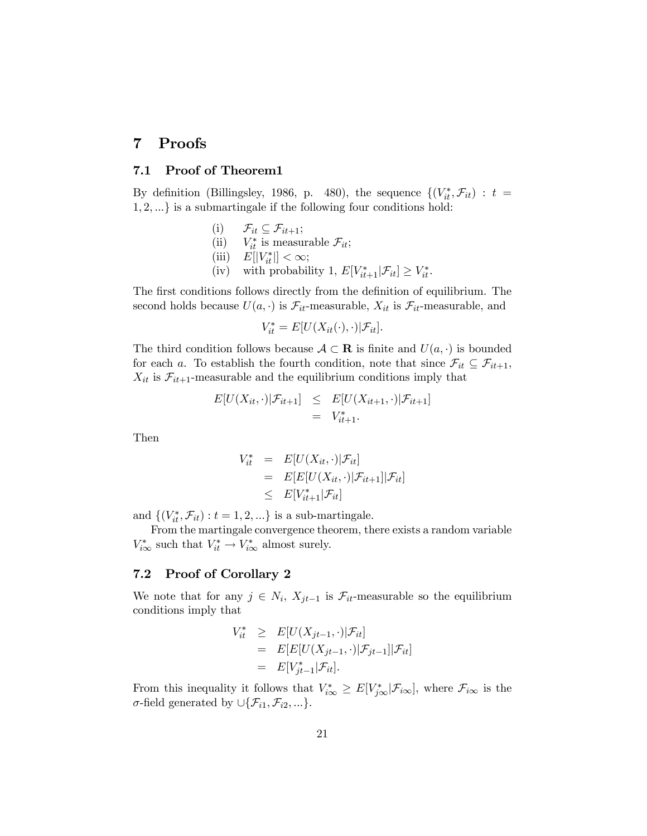### 7 Proofs

### 7.1 Proof of Theorem1

By definition (Billingsley, 1986, p. 480), the sequence  $\{(V_t^*, \mathcal{F}_{it}) : t =$ 1, 2, ...} is a submartingale if the following four conditions hold:

- (i)  $\mathcal{F}_{it} \subseteq \mathcal{F}_{it+1};$
- (ii)  $V_{it}^*$  is measurable  $\mathcal{F}_{it}$ ;
- (iii)  $E[|V_{it}^*|] < \infty;$
- (iv) with probability 1,  $E[V_{it+1}^*|\mathcal{F}_{it}] \geq V_{it}^*$ .

The first conditions follows directly from the definition of equilibrium. The second holds because  $U(a, \cdot)$  is  $\mathcal{F}_{it}$ -measurable,  $X_{it}$  is  $\mathcal{F}_{it}$ -measurable, and

$$
V_{it}^* = E[U(X_{it}(\cdot), \cdot) | \mathcal{F}_{it}].
$$

The third condition follows because  $A \subset \mathbf{R}$  is finite and  $U(a, \cdot)$  is bounded for each a. To establish the fourth condition, note that since  $\mathcal{F}_{it} \subseteq \mathcal{F}_{it+1}$ ,  $X_{it}$  is  $\mathcal{F}_{it+1}$ -measurable and the equilibrium conditions imply that

$$
E[U(X_{it},\cdot)|\mathcal{F}_{it+1}] \leq E[U(X_{it+1},\cdot)|\mathcal{F}_{it+1}]
$$
  
=  $V_{it+1}^*$ .

Then

$$
V_{it}^* = E[U(X_{it}, \cdot)|\mathcal{F}_{it}]
$$
  
=  $E[E[U(X_{it}, \cdot)|\mathcal{F}_{it+1}]|\mathcal{F}_{it}]$   
 $\leq E[V_{it+1}^*|\mathcal{F}_{it}]$ 

and  $\{(V_{it}^*, \mathcal{F}_{it}) : t = 1, 2, \ldots\}$  is a sub-martingale.

From the martingale convergence theorem, there exists a random variable  $V_{i\infty}^*$  such that  $V_{it}^* \to V_{i\infty}^*$  almost surely.

### 7.2 Proof of Corollary 2

We note that for any  $j \in N_i$ ,  $X_{jt-1}$  is  $\mathcal{F}_{it}$ -measurable so the equilibrium conditions imply that

$$
V_{it}^* \geq E[U(X_{jt-1}, \cdot)|\mathcal{F}_{it}]
$$
  
= 
$$
E[E[U(X_{jt-1}, \cdot)|\mathcal{F}_{jt-1}]|\mathcal{F}_{it}]
$$
  
= 
$$
E[V_{jt-1}^*|\mathcal{F}_{it}].
$$

From this inequality it follows that  $V_{i\infty}^* \geq E[V_{j\infty}^*|\mathcal{F}_{i\infty}],$  where  $\mathcal{F}_{i\infty}$  is the σ-field generated by ∪{ $\mathcal{F}_{i1}, \mathcal{F}_{i2}, ...$ }.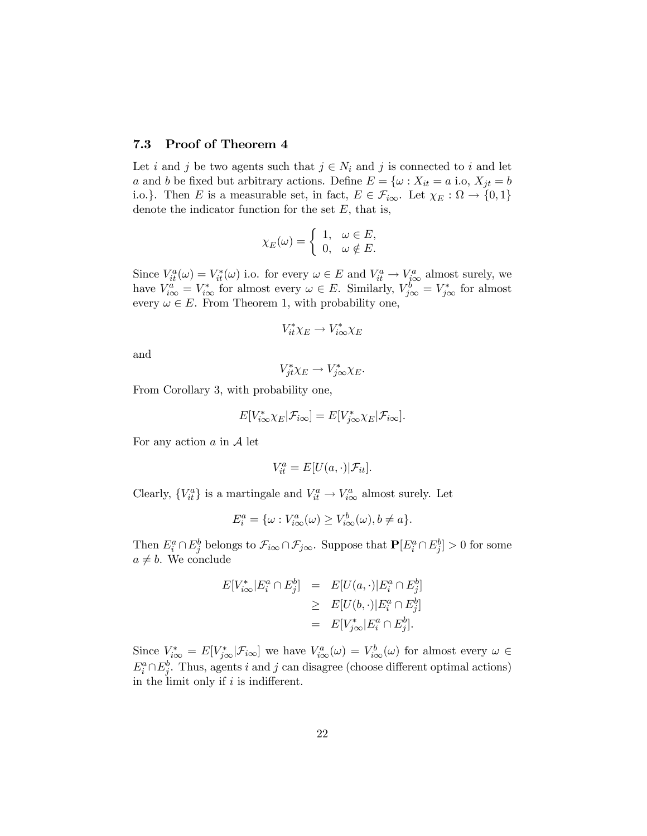### 7.3 Proof of Theorem 4

Let i and j be two agents such that  $j \in N_i$  and j is connected to i and let a and b be fixed but arbitrary actions. Define  $E = \{\omega : X_{it} = a \text{ i.o}, X_{jt} = b\}$ i.o.}. Then E is a measurable set, in fact,  $E \in \mathcal{F}_{i\infty}$ . Let  $\chi_E : \Omega \to \{0,1\}$ denote the indicator function for the set  $E$ , that is,

$$
\chi_E(\omega) = \begin{cases} 1, & \omega \in E, \\ 0, & \omega \notin E. \end{cases}
$$

Since  $V_{it}^a(\omega) = V_{it}^*(\omega)$  i.o. for every  $\omega \in E$  and  $V_{it}^a \to V_{i\infty}^a$  almost surely, we have  $V_{i\infty}^a = V_{i\infty}^*$  for almost every  $\omega \in E$ . Similarly,  $V_{j\infty}^b = V_{j\infty}^*$  for almost every  $\omega \in E$ . From Theorem 1, with probability one,

$$
V_{it}^* \chi_E \to V_{i\infty}^* \chi_E
$$

and

$$
V_{jt}^* \chi_E \to V_{j\infty}^* \chi_E.
$$

From Corollary 3, with probability one,

$$
E[V_{i\infty}^*\chi_E|\mathcal{F}_{i\infty}] = E[V_{j\infty}^*\chi_E|\mathcal{F}_{i\infty}].
$$

For any action  $a$  in  $A$  let

$$
V_{it}^a = E[U(a,\cdot)|\mathcal{F}_{it}].
$$

Clearly,  ${V_{it}^a}$  is a martingale and  $V_{it}^a \rightarrow V_{i\infty}^a$  almost surely. Let

$$
E_i^a = \{ \omega : V_{i\infty}^a(\omega) \ge V_{i\infty}^b(\omega), b \neq a \}.
$$

Then  $E_i^a \cap E_j^b$  belongs to  $\mathcal{F}_{i\infty} \cap \mathcal{F}_{j\infty}$ . Suppose that  $\mathbf{P}[E_i^a \cap E_j^b] > 0$  for some  $a \neq b$ . We conclude

$$
E[V_{i\infty}^* | E_i^a \cap E_j^b] = E[U(a, \cdot)|E_i^a \cap E_j^b]
$$
  
\n
$$
\geq E[U(b, \cdot)|E_i^a \cap E_j^b]
$$
  
\n
$$
= E[V_{j\infty}^* | E_i^a \cap E_j^b].
$$

Since  $V_{i\infty}^* = E[V_{j\infty}^*|\mathcal{F}_{i\infty}]$  we have  $V_{i\infty}^a(\omega) = V_{i\infty}^b(\omega)$  for almost every  $\omega \in$  $E_i^a \cap E_j^b$ . Thus, agents i and j can disagree (choose different optimal actions) in the limit only if  $i$  is indifferent.